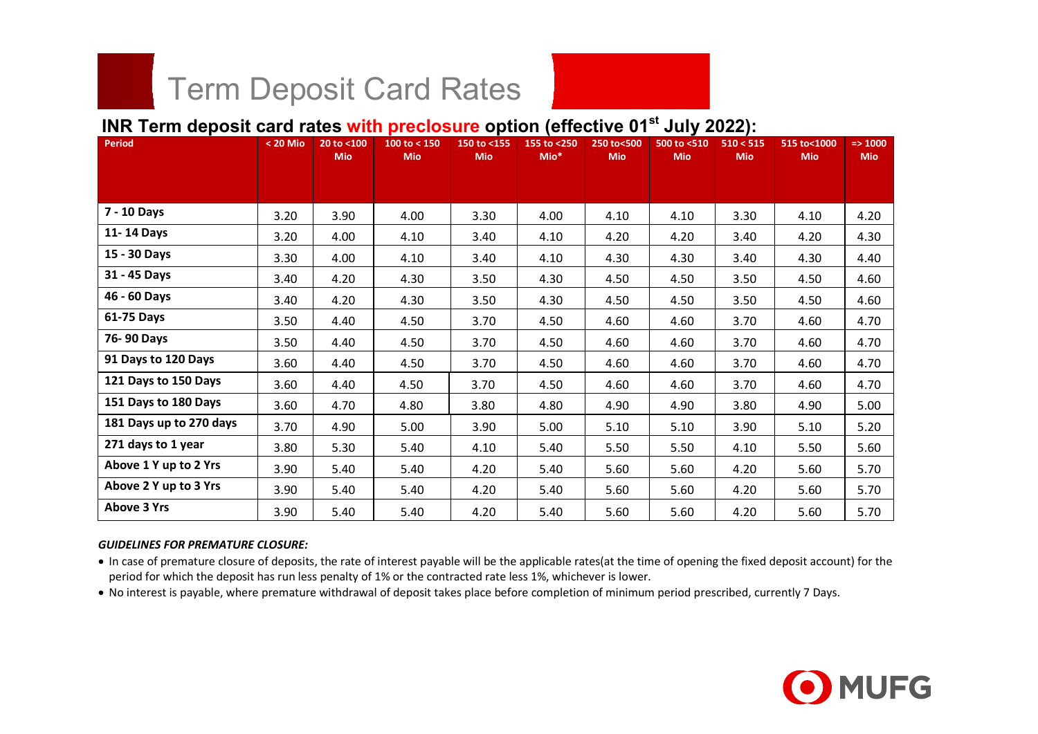# Term Deposit Card Rates<br>"" dangeit and rates with preclesure onti-

## **INR Term deposit card rates with preclosure option (effective 01st July 2022):**

| <b>Period</b>           | $< 20$ Mio | 20 to <100<br><b>Mio</b> | 100 to < 150<br><b>Mio</b> | 150 to <155<br><b>Mio</b> | 155 to <250<br>$Mio*$ | 250 to<500<br><b>Mio</b> | 500 to <510<br><b>Mio</b> | 510 < 515<br><b>Mio</b> | 515 to<1000<br><b>Mio</b> | $=$ 1000<br><b>Mio</b> |
|-------------------------|------------|--------------------------|----------------------------|---------------------------|-----------------------|--------------------------|---------------------------|-------------------------|---------------------------|------------------------|
|                         |            |                          |                            |                           |                       |                          |                           |                         |                           |                        |
| 7 - 10 Days             | 3.20       | 3.90                     | 4.00                       | 3.30                      | 4.00                  | 4.10                     | 4.10                      | 3.30                    | 4.10                      | 4.20                   |
| 11-14 Days              | 3.20       | 4.00                     | 4.10                       | 3.40                      | 4.10                  | 4.20                     | 4.20                      | 3.40                    | 4.20                      | 4.30                   |
| 15 - 30 Days            | 3.30       | 4.00                     | 4.10                       | 3.40                      | 4.10                  | 4.30                     | 4.30                      | 3.40                    | 4.30                      | 4.40                   |
| 31 - 45 Days            | 3.40       | 4.20                     | 4.30                       | 3.50                      | 4.30                  | 4.50                     | 4.50                      | 3.50                    | 4.50                      | 4.60                   |
| 46 - 60 Days            | 3.40       | 4.20                     | 4.30                       | 3.50                      | 4.30                  | 4.50                     | 4.50                      | 3.50                    | 4.50                      | 4.60                   |
| 61-75 Days              | 3.50       | 4.40                     | 4.50                       | 3.70                      | 4.50                  | 4.60                     | 4.60                      | 3.70                    | 4.60                      | 4.70                   |
| 76-90 Days              | 3.50       | 4.40                     | 4.50                       | 3.70                      | 4.50                  | 4.60                     | 4.60                      | 3.70                    | 4.60                      | 4.70                   |
| 91 Days to 120 Days     | 3.60       | 4.40                     | 4.50                       | 3.70                      | 4.50                  | 4.60                     | 4.60                      | 3.70                    | 4.60                      | 4.70                   |
| 121 Days to 150 Days    | 3.60       | 4.40                     | 4.50                       | 3.70                      | 4.50                  | 4.60                     | 4.60                      | 3.70                    | 4.60                      | 4.70                   |
| 151 Days to 180 Days    | 3.60       | 4.70                     | 4.80                       | 3.80                      | 4.80                  | 4.90                     | 4.90                      | 3.80                    | 4.90                      | 5.00                   |
| 181 Days up to 270 days | 3.70       | 4.90                     | 5.00                       | 3.90                      | 5.00                  | 5.10                     | 5.10                      | 3.90                    | 5.10                      | 5.20                   |
| 271 days to 1 year      | 3.80       | 5.30                     | 5.40                       | 4.10                      | 5.40                  | 5.50                     | 5.50                      | 4.10                    | 5.50                      | 5.60                   |
| Above 1 Y up to 2 Yrs   | 3.90       | 5.40                     | 5.40                       | 4.20                      | 5.40                  | 5.60                     | 5.60                      | 4.20                    | 5.60                      | 5.70                   |
| Above 2 Y up to 3 Yrs   | 3.90       | 5.40                     | 5.40                       | 4.20                      | 5.40                  | 5.60                     | 5.60                      | 4.20                    | 5.60                      | 5.70                   |
| <b>Above 3 Yrs</b>      | 3.90       | 5.40                     | 5.40                       | 4.20                      | 5.40                  | 5.60                     | 5.60                      | 4.20                    | 5.60                      | 5.70                   |

#### *GUIDELINES FOR PREMATURE CLOSURE:*

- In case of premature closure of deposits, the rate of interest payable will be the applicable rates(at the time of opening the fixed deposit account) for the period for which the deposit has run less penalty of 1% or the contracted rate less 1%, whichever is lower.
- No interest is payable, where premature withdrawal of deposit takes place before completion of minimum period prescribed, currently 7 Days.